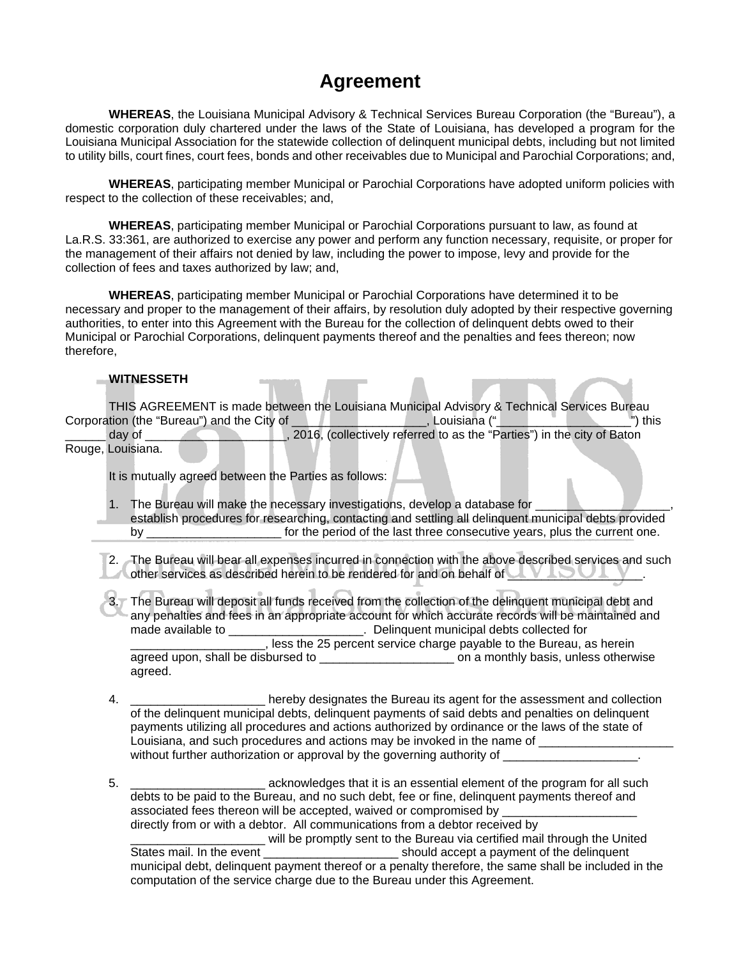## **Agreement**

**WHEREAS**, the Louisiana Municipal Advisory & Technical Services Bureau Corporation (the "Bureau"), a domestic corporation duly chartered under the laws of the State of Louisiana, has developed a program for the Louisiana Municipal Association for the statewide collection of delinquent municipal debts, including but not limited to utility bills, court fines, court fees, bonds and other receivables due to Municipal and Parochial Corporations; and,

**WHEREAS**, participating member Municipal or Parochial Corporations have adopted uniform policies with respect to the collection of these receivables; and,

**WHEREAS**, participating member Municipal or Parochial Corporations pursuant to law, as found at La.R.S. 33:361, are authorized to exercise any power and perform any function necessary, requisite, or proper for the management of their affairs not denied by law, including the power to impose, levy and provide for the collection of fees and taxes authorized by law; and,

**WHEREAS**, participating member Municipal or Parochial Corporations have determined it to be necessary and proper to the management of their affairs, by resolution duly adopted by their respective governing authorities, to enter into this Agreement with the Bureau for the collection of delinquent debts owed to their Municipal or Parochial Corporations, delinquent payments thereof and the penalties and fees thereon; now therefore,

## **WITNESSETH**

THIS AGREEMENT is made between the Louisiana Municipal Advisory & Technical Services Bureau Corporation (the "Bureau") and the City of The Corporation (" day of \_\_\_\_\_\_\_\_\_\_\_\_\_\_\_\_\_\_\_\_, 2016, (collectively referred to as the "Parties") in the city of Baton Rouge, Louisiana.

It is mutually agreed between the Parties as follows:

- 1. The Bureau will make the necessary investigations, develop a database for establish procedures for researching, contacting and settling all delinquent municipal debts provided by \_\_\_\_\_\_\_\_\_\_\_\_\_\_\_\_\_\_\_\_\_\_\_\_\_\_\_\_\_\_\_\_ for the period of the last three consecutive years, plus the current one.
- 2. The Bureau will bear all expenses incurred in connection with the above described services and such  $\blacktriangle$  other services as described herein to be rendered for and on behalf of  $\blacktriangle$
- 3. The Bureau will deposit all funds received from the collection of the delinquent municipal debt and any penalties and fees in an appropriate account for which accurate records will be maintained and made available to \_\_\_\_\_\_\_\_\_\_\_\_\_\_\_\_\_\_\_\_\_\_\_. Delinquent municipal debts collected for less the 25 percent service charge payable to the Bureau, as herein agreed upon, shall be disbursed to \_\_\_\_\_\_\_\_\_\_\_\_\_\_\_\_\_\_\_\_ on a monthly basis, unless otherwise agreed.
- 4. \_\_\_\_\_\_\_\_\_\_\_\_\_\_\_\_\_\_\_\_ hereby designates the Bureau its agent for the assessment and collection of the delinquent municipal debts, delinquent payments of said debts and penalties on delinquent payments utilizing all procedures and actions authorized by ordinance or the laws of the state of Louisiana, and such procedures and actions may be invoked in the name of without further authorization or approval by the governing authority of
- 5. **Example 3** acknowledges that it is an essential element of the program for all such debts to be paid to the Bureau, and no such debt, fee or fine, delinquent payments thereof and associated fees thereon will be accepted, waived or compromised by \_ directly from or with a debtor. All communications from a debtor received by will be promptly sent to the Bureau via certified mail through the United<br>States mail. In the event  $\Box$  should accept a payment of the delinquent municipal debt, delinquent payment thereof or a penalty therefore, the same shall be included in the computation of the service charge due to the Bureau under this Agreement.